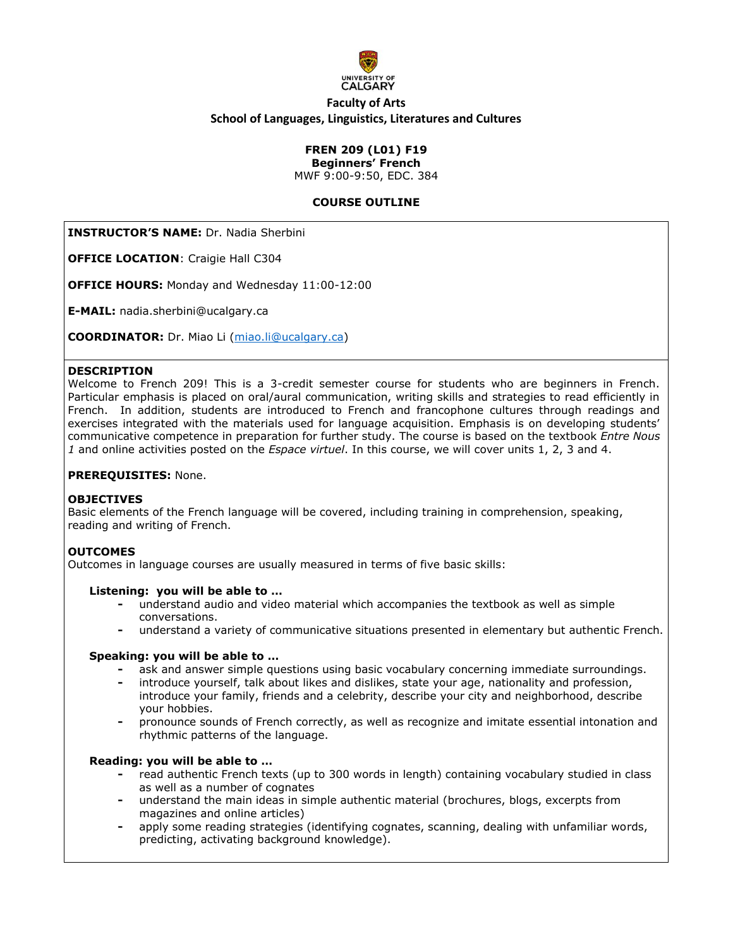

# **Faculty of Arts School of Languages, Linguistics, Literatures and Cultures**

# **FREN 209 (L01) F19**

**Beginners' French** 

MWF 9:00-9:50, EDC. 384

### **COURSE OUTLINE**

**INSTRUCTOR'S NAME:** Dr. Nadia Sherbini

**OFFICE LOCATION**: Craigie Hall C304

**OFFICE HOURS:** Monday and Wednesday 11:00-12:00

**E-MAIL:** nadia.sherbini@ucalgary.ca

**COORDINATOR:** Dr. Miao Li [\(miao.li@ucalgary.ca\)](mailto:miao.li@ucalgary.ca)

#### **DESCRIPTION**

Welcome to French 209! This is a 3-credit semester course for students who are beginners in French. Particular emphasis is placed on oral/aural communication, writing skills and strategies to read efficiently in French. In addition, students are introduced to French and francophone cultures through readings and exercises integrated with the materials used for language acquisition. Emphasis is on developing students' communicative competence in preparation for further study. The course is based on the textbook *Entre Nous 1* and online activities posted on the *Espace virtuel*. In this course, we will cover units 1, 2, 3 and 4.

#### **PREREQUISITES:** None.

#### **OBJECTIVES**

Basic elements of the French language will be covered, including training in comprehension, speaking, reading and writing of French.

### **OUTCOMES**

Outcomes in language courses are usually measured in terms of five basic skills:

#### **Listening: you will be able to …**

- **-** understand audio and video material which accompanies the textbook as well as simple conversations.
- **-** understand a variety of communicative situations presented in elementary but authentic French.

#### **Speaking: you will be able to …**

- **-** ask and answer simple questions using basic vocabulary concerning immediate surroundings.
- **-** introduce yourself, talk about likes and dislikes, state your age, nationality and profession, introduce your family, friends and a celebrity, describe your city and neighborhood, describe your hobbies.
- **-** pronounce sounds of French correctly, as well as recognize and imitate essential intonation and rhythmic patterns of the language.

#### **Reading: you will be able to …**

- **-** read authentic French texts (up to 300 words in length) containing vocabulary studied in class as well as a number of cognates
- **-** understand the main ideas in simple authentic material (brochures, blogs, excerpts from magazines and online articles)
- **-** apply some reading strategies (identifying cognates, scanning, dealing with unfamiliar words, predicting, activating background knowledge).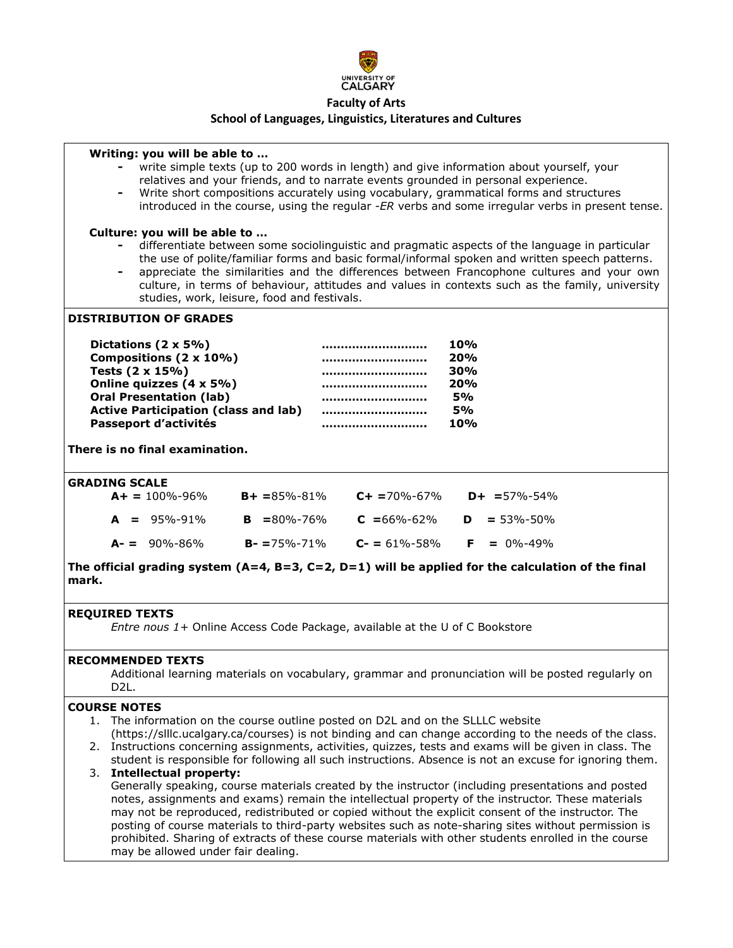

### **School of Languages, Linguistics, Literatures and Cultures**

#### **Writing: you will be able to …**

- **-** write simple texts (up to 200 words in length) and give information about yourself, your relatives and your friends, and to narrate events grounded in personal experience.
- **-** Write short compositions accurately using vocabulary, grammatical forms and structures introduced in the course, using the regular -*ER* verbs and some irregular verbs in present tense.

#### **Culture: you will be able to …**

- **-** differentiate between some sociolinguistic and pragmatic aspects of the language in particular the use of polite/familiar forms and basic formal/informal spoken and written speech patterns.
- **-** appreciate the similarities and the differences between Francophone cultures and your own culture, in terms of behaviour, attitudes and values in contexts such as the family, university studies, work, leisure, food and festivals.

### **DISTRIBUTION OF GRADES**

| Dictations $(2 \times 5\%)$                 | <br>10%       |
|---------------------------------------------|---------------|
| Compositions (2 x 10%)                      | <br>20%       |
| Tests $(2 \times 15\%)$                     | <br>30%       |
| Online quizzes (4 x 5%)                     | <br>20%       |
| <b>Oral Presentation (lab)</b>              | <br><b>5%</b> |
| <b>Active Participation (class and lab)</b> | <br><b>5%</b> |
| Passeport d'activités                       | <br>10%       |

**There is no final examination.**

#### **GRADING SCALE**

| $A+ = 100\% - 96\%$ | $B + = 85\% - 81\%$ | $C_{+}$ = 70%-67% | $D+ = 57\% - 54\%$         |
|---------------------|---------------------|-------------------|----------------------------|
| $A = 95\% - 91\%$   | $B = 80\% - 76\%$   | $C = 66\% - 62\%$ | $\mathbf{D} = 53\% - 50\%$ |
| $A - = 90\% - 86\%$ | $B - 75% - 71%$     | $C = 61\% - 58\%$ | $F = 0\% - 49\%$           |

**The official grading system (A=4, B=3, C=2, D=1) will be applied for the calculation of the final mark.**

#### **REQUIRED TEXTS**

*Entre nous 1+* Online Access Code Package, available at the U of C Bookstore

### **RECOMMENDED TEXTS**

Additional learning materials on vocabulary, grammar and pronunciation will be posted regularly on D2L.

#### **COURSE NOTES**

- 1. The information on the course outline posted on D2L and on the SLLLC website (https://slllc.ucalgary.ca/courses) is not binding and can change according to the needs of the class.
- 2. Instructions concerning assignments, activities, quizzes, tests and exams will be given in class. The student is responsible for following all such instructions. Absence is not an excuse for ignoring them.

#### 3. **Intellectual property:**

Generally speaking, course materials created by the instructor (including presentations and posted notes, assignments and exams) remain the intellectual property of the instructor. These materials may not be reproduced, redistributed or copied without the explicit consent of the instructor. The posting of course materials to third-party websites such as note-sharing sites without permission is prohibited. Sharing of extracts of these course materials with other students enrolled in the course may be allowed under fair dealing.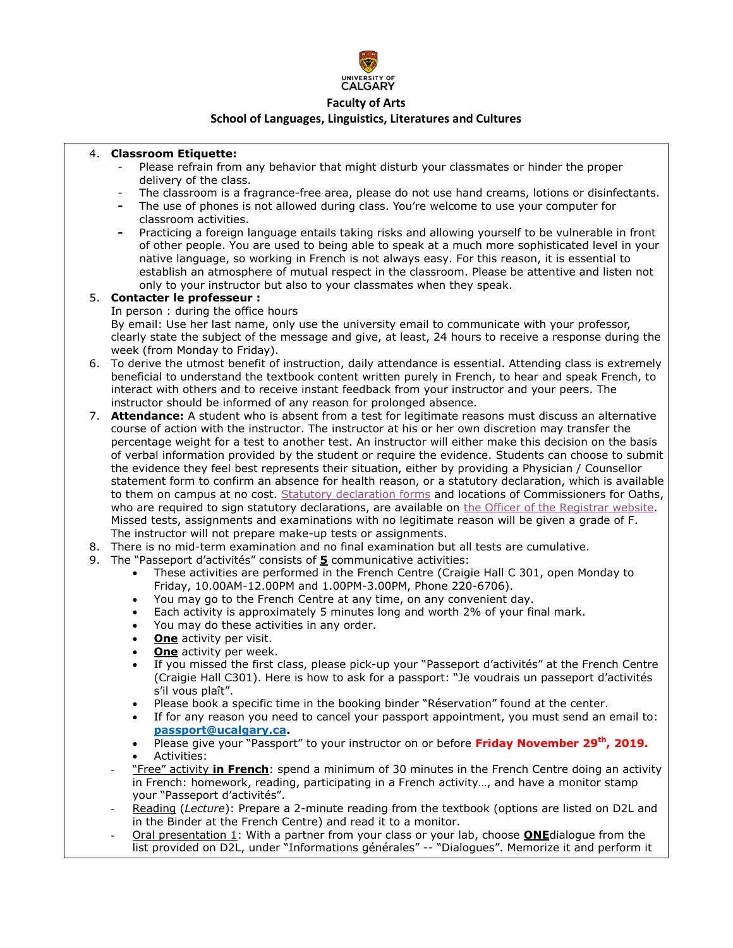

### **School of Languages, Linguistics, Literatures and Cultures**

### 4. **Classroom Etiquette:**

- Please refrain from any behavior that might disturb your classmates or hinder the proper delivery of the class.
- The classroom is a fragrance-free area, please do not use hand creams, lotions or disinfectants.
- **-** The use of phones is not allowed during class. You're welcome to use your computer for classroom activities.
- **-** Practicing a foreign language entails taking risks and allowing yourself to be vulnerable in front of other people. You are used to being able to speak at a much more sophisticated level in your native language, so working in French is not always easy. For this reason, it is essential to establish an atmosphere of mutual respect in the classroom. Please be attentive and listen not only to your instructor but also to your classmates when they speak.

#### 5. **Contacter le professeur :**  In person : during the office hours By email: Use her last name, only use the university email to communicate with your professor, clearly state the subject of the message and give, at least, 24 hours to receive a response during the week (from Monday to Friday).

- 6. To derive the utmost benefit of instruction, daily attendance is essential. Attending class is extremely beneficial to understand the textbook content written purely in French, to hear and speak French, to interact with others and to receive instant feedback from your instructor and your peers. The instructor should be informed of any reason for prolonged absence.
- 7. **Attendance:** A student who is absent from a test for legitimate reasons must discuss an alternative course of action with the instructor. The instructor at his or her own discretion may transfer the percentage weight for a test to another test. An instructor will either make this decision on the basis of verbal information provided by the student or require the evidence. Students can choose to submit the evidence they feel best represents their situation, either by providing a Physician / Counsellor statement form to confirm an absence for health reason, or a statutory declaration, which is available to them on campus at no cost. [Statutory declaration forms](https://www.ucalgary.ca/registrar/files/registrar/university-of-calgary-statutory-declaration-coursework-and-examinations.pdf) and locations of Commissioners for Oaths, who are required to sign statutory declarations, are available on [the Officer of the Registrar website.](https://www.ucalgary.ca/registrar/registration/appeals) Missed tests, assignments and examinations with no legitimate reason will be given a grade of F. The instructor will not prepare make-up tests or assignments.
- 8. There is no mid-term examination and no final examination but all tests are cumulative.
- 9. The "Passeport d'activités" consists of **5** communicative activities:
	- These activities are performed in the French Centre (Craigie Hall C 301, open Monday to Friday, 10.00AM-12.00PM and 1.00PM-3.00PM, Phone 220-6706).
	- You may go to the French Centre at any time, on any convenient day.
	- Each activity is approximately 5 minutes long and worth 2% of your final mark.
	- You may do these activities in any order.
	- **One** activity per visit.
	- **One** activity per week.
	- If you missed the first class, please pick-up your "Passeport d'activités" at the French Centre (Craigie Hall C301). Here is how to ask for a passport: "Je voudrais un passeport d'activités s'il vous plaît".
	- Please book a specific time in the booking binder "Réservation" found at the center.
	- If for any reason you need to cancel your passport appointment, you must send an email to: **[passport@ucalgary.ca.](mailto:passport@ucalgary.ca)**
	- Please give your "Passport" to your instructor on or before **Friday November 29th, 2019.** Activities:
	- "Free" activity *in French*: spend a minimum of 30 minutes in the French Centre doing an activity in French: homework, reading, participating in a French activity…, and have a monitor stamp your "Passeport d'activités".
	- Reading (*Lecture*): Prepare a 2-minute reading from the textbook (options are listed on D2L and in the Binder at the French Centre) and read it to a monitor.
	- Oral presentation 1: With a partner from your class or your lab, choose **ONE**dialogue from the list provided on D2L, under "Informations générales" -- "Dialogues". Memorize it and perform it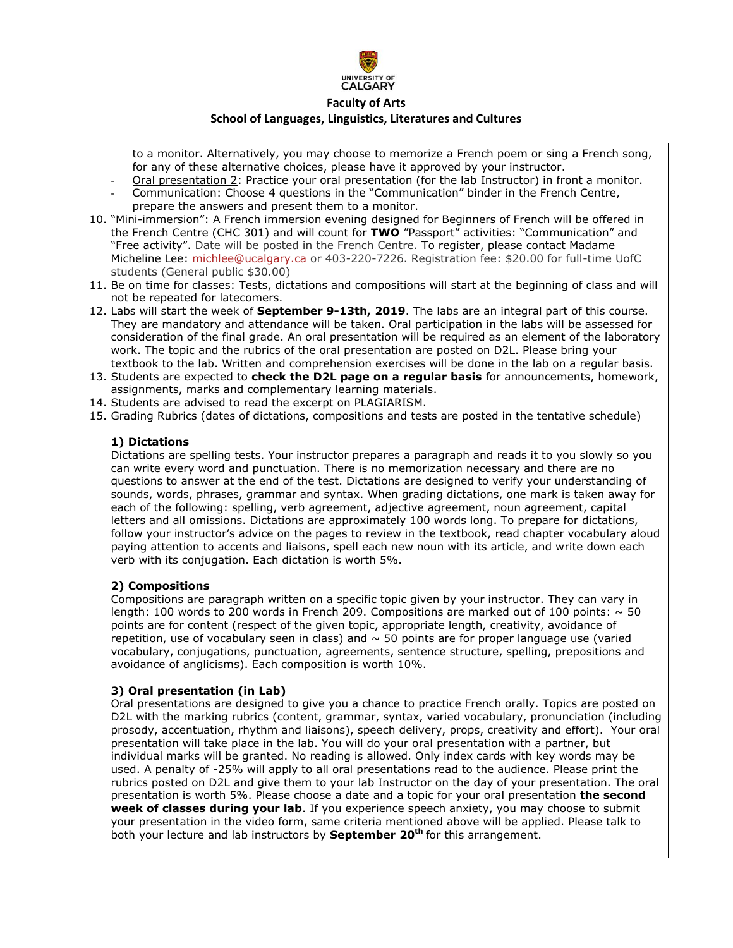

#### **School of Languages, Linguistics, Literatures and Cultures**

- to a monitor. Alternatively, you may choose to memorize a French poem or sing a French song, for any of these alternative choices, please have it approved by your instructor.
- Oral presentation 2: Practice your oral presentation (for the lab Instructor) in front a monitor.
- Communication: Choose 4 questions in the "Communication" binder in the French Centre, prepare the answers and present them to a monitor.
- 10. "Mini-immersion": A French immersion evening designed for Beginners of French will be offered in the French Centre (CHC 301) and will count for **TWO** "Passport" activities: "Communication" and "Free activity". Date will be posted in the French Centre. To register, please contact Madame Micheline Lee: [michlee@ucalgary.ca](mailto:michlee@ucalgary.ca) or 403-220-7226. Registration fee: \$20.00 for full-time UofC students (General public \$30.00)
- 11. Be on time for classes: Tests, dictations and compositions will start at the beginning of class and will not be repeated for latecomers.
- 12. Labs will start the week of **September 9-13th, 2019**. The labs are an integral part of this course. They are mandatory and attendance will be taken. Oral participation in the labs will be assessed for consideration of the final grade. An oral presentation will be required as an element of the laboratory work. The topic and the rubrics of the oral presentation are posted on D2L. Please bring your textbook to the lab. Written and comprehension exercises will be done in the lab on a regular basis.
- 13. Students are expected to **check the D2L page on a regular basis** for announcements, homework, assignments, marks and complementary learning materials.
- 14. Students are advised to read the excerpt on PLAGIARISM.
- 15. Grading Rubrics (dates of dictations, compositions and tests are posted in the tentative schedule)

#### **1) Dictations**

Dictations are spelling tests. Your instructor prepares a paragraph and reads it to you slowly so you can write every word and punctuation. There is no memorization necessary and there are no questions to answer at the end of the test. Dictations are designed to verify your understanding of sounds, words, phrases, grammar and syntax. When grading dictations, one mark is taken away for each of the following: spelling, verb agreement, adjective agreement, noun agreement, capital letters and all omissions. Dictations are approximately 100 words long. To prepare for dictations, follow your instructor's advice on the pages to review in the textbook, read chapter vocabulary aloud paying attention to accents and liaisons, spell each new noun with its article, and write down each verb with its conjugation. Each dictation is worth 5%.

### **2) Compositions**

Compositions are paragraph written on a specific topic given by your instructor. They can vary in length: 100 words to 200 words in French 209. Compositions are marked out of 100 points:  $\sim$  50 points are for content (respect of the given topic, appropriate length, creativity, avoidance of repetition, use of vocabulary seen in class) and  $\sim$  50 points are for proper language use (varied vocabulary, conjugations, punctuation, agreements, sentence structure, spelling, prepositions and avoidance of anglicisms). Each composition is worth 10%.

### **3) Oral presentation (in Lab)**

Oral presentations are designed to give you a chance to practice French orally. Topics are posted on D2L with the marking rubrics (content, grammar, syntax, varied vocabulary, pronunciation (including prosody, accentuation, rhythm and liaisons), speech delivery, props, creativity and effort). Your oral presentation will take place in the lab. You will do your oral presentation with a partner, but individual marks will be granted. No reading is allowed. Only index cards with key words may be used. A penalty of -25% will apply to all oral presentations read to the audience. Please print the rubrics posted on D2L and give them to your lab Instructor on the day of your presentation. The oral presentation is worth 5%. Please choose a date and a topic for your oral presentation **the second week of classes during your lab**. If you experience speech anxiety, you may choose to submit your presentation in the video form, same criteria mentioned above will be applied. Please talk to both your lecture and lab instructors by **September 20 th** for this arrangement.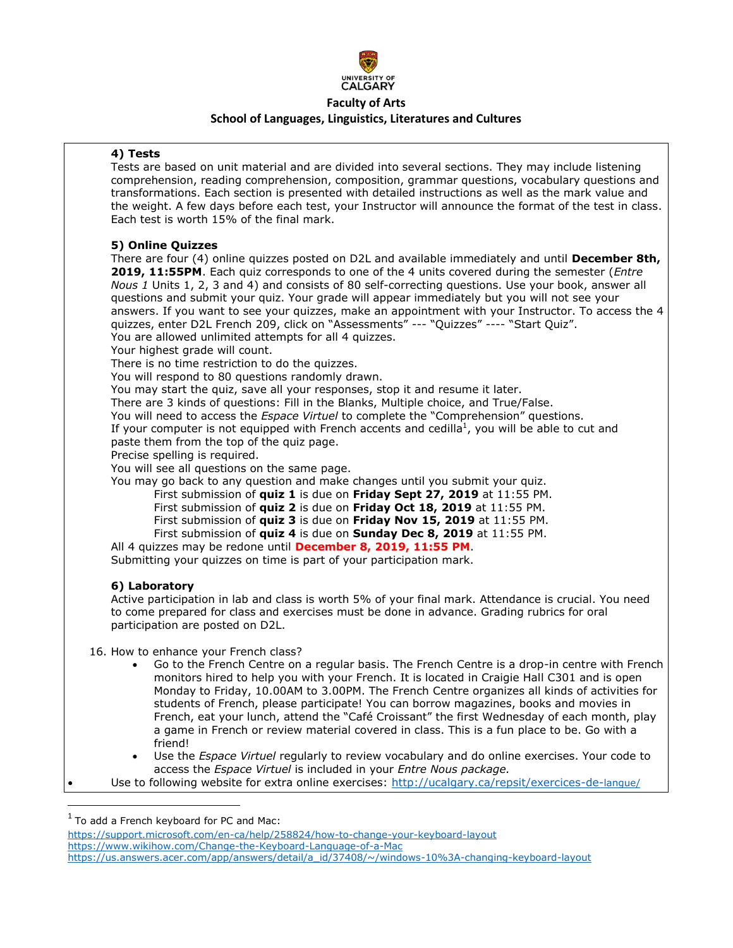

# **School of Languages, Linguistics, Literatures and Cultures**

### **4) Tests**

Tests are based on unit material and are divided into several sections. They may include listening comprehension, reading comprehension, composition, grammar questions, vocabulary questions and transformations. Each section is presented with detailed instructions as well as the mark value and the weight. A few days before each test, your Instructor will announce the format of the test in class. Each test is worth 15% of the final mark.

### **5) Online Quizzes**

There are four (4) online quizzes posted on D2L and available immediately and until **December 8th, 2019, 11:55PM**. Each quiz corresponds to one of the 4 units covered during the semester (*Entre Nous 1* Units 1, 2, 3 and 4) and consists of 80 self-correcting questions. Use your book, answer all questions and submit your quiz. Your grade will appear immediately but you will not see your answers. If you want to see your quizzes, make an appointment with your Instructor. To access the 4 quizzes, enter D2L French 209, click on "Assessments" --- "Quizzes" ---- "Start Quiz". You are allowed unlimited attempts for all 4 quizzes.

Your highest grade will count.

There is no time restriction to do the quizzes.

You will respond to 80 questions randomly drawn.

You may start the quiz, save all your responses, stop it and resume it later.

There are 3 kinds of questions: Fill in the Blanks, Multiple choice, and True/False.

You will need to access the *Espace Virtuel* to complete the "Comprehension" questions.

If your computer is not equipped with French accents and cedilla<sup>1</sup>, you will be able to cut and paste them from the top of the quiz page.

Precise spelling is required.

You will see all questions on the same page.

You may go back to any question and make changes until you submit your quiz.

First submission of **quiz 1** is due on **Friday Sept 27, 2019** at 11:55 PM.

First submission of **quiz 2** is due on **Friday Oct 18, 2019** at 11:55 PM.

- First submission of **quiz 3** is due on **Friday Nov 15, 2019** at 11:55 PM.
- First submission of **quiz 4** is due on **Sunday Dec 8, 2019** at 11:55 PM.

All 4 quizzes may be redone until **December 8, 2019, 11:55 PM**.

Submitting your quizzes on time is part of your participation mark.

### **6) Laboratory**

Active participation in lab and class is worth 5% of your final mark. Attendance is crucial. You need to come prepared for class and exercises must be done in advance. Grading rubrics for oral participation are posted on D2L.

16. How to enhance your French class?

- Go to the French Centre on a regular basis. The French Centre is a drop-in centre with French monitors hired to help you with your French. It is located in Craigie Hall C301 and is open Monday to Friday, 10.00AM to 3.00PM. The French Centre organizes all kinds of activities for students of French, please participate! You can borrow magazines, books and movies in French, eat your lunch, attend the "Café Croissant" the first Wednesday of each month, play a game in French or review material covered in class. This is a fun place to be. Go with a friend!
- Use the *Espace Virtuel* regularly to review vocabulary and do online exercises. Your code to access the *Espace Virtuel* is included in your *Entre Nous package.*

Use to following website for extra online exercises: [http://ucalgary.ca/repsit/exercices-de-](http://ucalgary.ca/repsit/exercices-de-langue/)langue/

 $\overline{\phantom{a}}$ 

<https://support.microsoft.com/en-ca/help/258824/how-to-change-your-keyboard-layout>

<https://www.wikihow.com/Change-the-Keyboard-Language-of-a-Mac>

 $<sup>1</sup>$  To add a French keyboard for PC and Mac:</sup>

[https://us.answers.acer.com/app/answers/detail/a\\_id/37408/~/windows-10%3A-changing-keyboard-layout](https://us.answers.acer.com/app/answers/detail/a_id/37408/~/windows-10%3A-changing-keyboard-layout)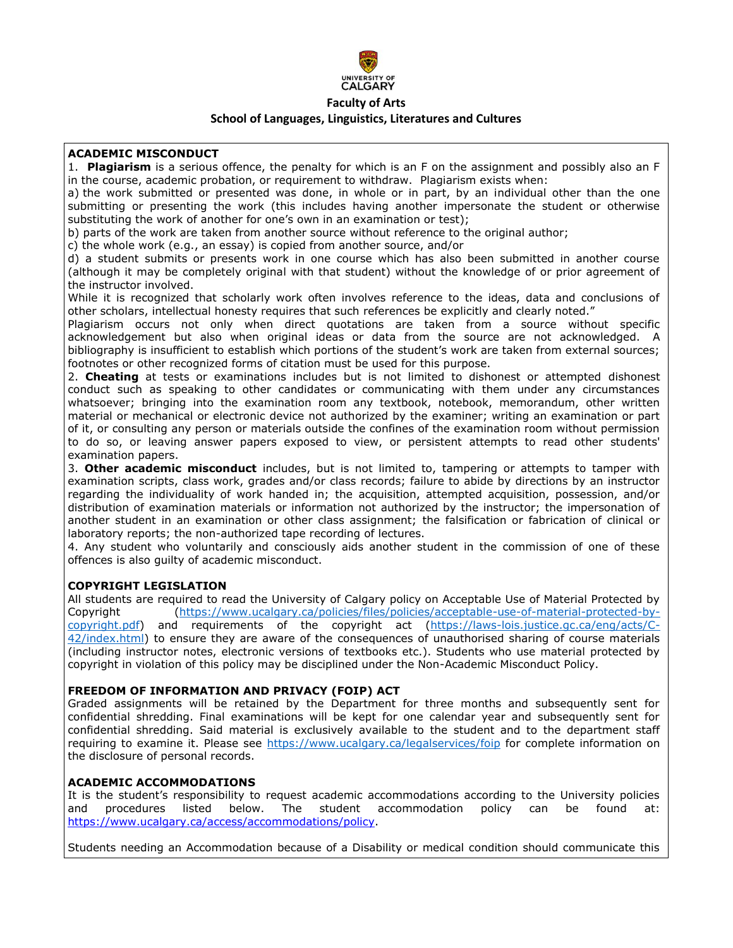

### **School of Languages, Linguistics, Literatures and Cultures**

### **ACADEMIC MISCONDUCT**

1. **Plagiarism** is a serious offence, the penalty for which is an F on the assignment and possibly also an F in the course, academic probation, or requirement to withdraw. Plagiarism exists when:

a) the work submitted or presented was done, in whole or in part, by an individual other than the one submitting or presenting the work (this includes having another impersonate the student or otherwise substituting the work of another for one's own in an examination or test);

b) parts of the work are taken from another source without reference to the original author;

c) the whole work (e.g., an essay) is copied from another source, and/or

d) a student submits or presents work in one course which has also been submitted in another course (although it may be completely original with that student) without the knowledge of or prior agreement of the instructor involved.

While it is recognized that scholarly work often involves reference to the ideas, data and conclusions of other scholars, intellectual honesty requires that such references be explicitly and clearly noted."

Plagiarism occurs not only when direct quotations are taken from a source without specific acknowledgement but also when original ideas or data from the source are not acknowledged. A bibliography is insufficient to establish which portions of the student's work are taken from external sources; footnotes or other recognized forms of citation must be used for this purpose.

2. **Cheating** at tests or examinations includes but is not limited to dishonest or attempted dishonest conduct such as speaking to other candidates or communicating with them under any circumstances whatsoever; bringing into the examination room any textbook, notebook, memorandum, other written material or mechanical or electronic device not authorized by the examiner; writing an examination or part of it, or consulting any person or materials outside the confines of the examination room without permission to do so, or leaving answer papers exposed to view, or persistent attempts to read other students' examination papers.

3. **Other academic misconduct** includes, but is not limited to, tampering or attempts to tamper with examination scripts, class work, grades and/or class records; failure to abide by directions by an instructor regarding the individuality of work handed in; the acquisition, attempted acquisition, possession, and/or distribution of examination materials or information not authorized by the instructor; the impersonation of another student in an examination or other class assignment; the falsification or fabrication of clinical or laboratory reports; the non-authorized tape recording of lectures.

4. Any student who voluntarily and consciously aids another student in the commission of one of these offences is also guilty of academic misconduct.

### **COPYRIGHT LEGISLATION**

All students are required to read the University of Calgary policy on Acceptable Use of Material Protected by Copyright [\(https://www.ucalgary.ca/policies/files/policies/acceptable-use-of-material-protected-by](https://www.ucalgary.ca/policies/files/policies/acceptable-use-of-material-protected-by-copyright.pdf)[copyright.pdf\)](https://www.ucalgary.ca/policies/files/policies/acceptable-use-of-material-protected-by-copyright.pdf) and requirements of the copyright act [\(https://laws-lois.justice.gc.ca/eng/acts/C-](https://laws-lois.justice.gc.ca/eng/acts/C-42/index.html)[42/index.html\)](https://laws-lois.justice.gc.ca/eng/acts/C-42/index.html) to ensure they are aware of the consequences of unauthorised sharing of course materials (including instructor notes, electronic versions of textbooks etc.). Students who use material protected by copyright in violation of this policy may be disciplined under the Non-Academic Misconduct Policy.

### **FREEDOM OF INFORMATION AND PRIVACY (FOIP) ACT**

Graded assignments will be retained by the Department for three months and subsequently sent for confidential shredding. Final examinations will be kept for one calendar year and subsequently sent for confidential shredding. Said material is exclusively available to the student and to the department staff requiring to examine it. Please see<https://www.ucalgary.ca/legalservices/foip> for complete information on the disclosure of personal records.

### **ACADEMIC ACCOMMODATIONS**

It is the student's responsibility to request academic accommodations according to the University policies and procedures listed below. The student accommodation policy can be found at: [https://www.ucalgary.ca/access/accommodations/policy.](https://www.ucalgary.ca/access/accommodations/policy)

Students needing an Accommodation because of a Disability or medical condition should communicate this